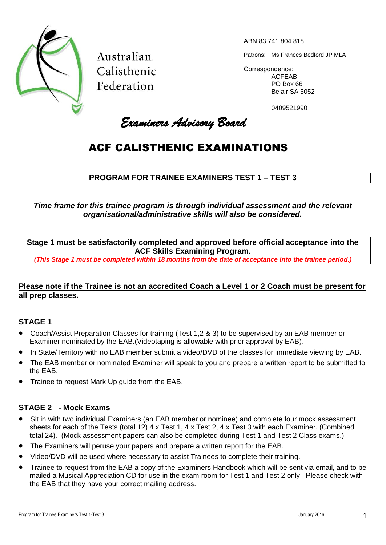

Australian Calisthenic Federation

ABN 83 741 804 818

Patrons: Ms Frances Bedford JP MLA

Correspondence: ACFEAB PO Box 66 Belair SA 5052

0409521990

Examiners Advisory Board

### ACF CALISTHENIC EXAMINATIONS

### **PROGRAM FOR TRAINEE EXAMINERS TEST 1 – TEST 3**

*Time frame for this trainee program is through individual assessment and the relevant organisational/administrative skills will also be considered.*

**Stage 1 must be satisfactorily completed and approved before official acceptance into the ACF Skills Examining Program.**

*(This Stage 1 must be completed within 18 months from the date of acceptance into the trainee period.)*

### **Please note if the Trainee is not an accredited Coach a Level 1 or 2 Coach must be present for all prep classes.**

### **STAGE 1**

- Coach/Assist Preparation Classes for training (Test 1,2 & 3) to be supervised by an EAB member or Examiner nominated by the EAB.(Videotaping is allowable with prior approval by EAB).
- In State/Territory with no EAB member submit a video/DVD of the classes for immediate viewing by EAB.
- The EAB member or nominated Examiner will speak to you and prepare a written report to be submitted to the EAB.
- Trainee to request Mark Up guide from the EAB.

### **STAGE 2 - Mock Exams**

- Sit in with two individual Examiners (an EAB member or nominee) and complete four mock assessment sheets for each of the Tests (total 12) 4 x Test 1, 4 x Test 2, 4 x Test 3 with each Examiner. (Combined total 24). (Mock assessment papers can also be completed during Test 1 and Test 2 Class exams.)
- The Examiners will peruse your papers and prepare a written report for the EAB.
- Video/DVD will be used where necessary to assist Trainees to complete their training.
- Trainee to request from the EAB a copy of the Examiners Handbook which will be sent via email, and to be mailed a Musical Appreciation CD for use in the exam room for Test 1 and Test 2 only. Please check with the EAB that they have your correct mailing address.